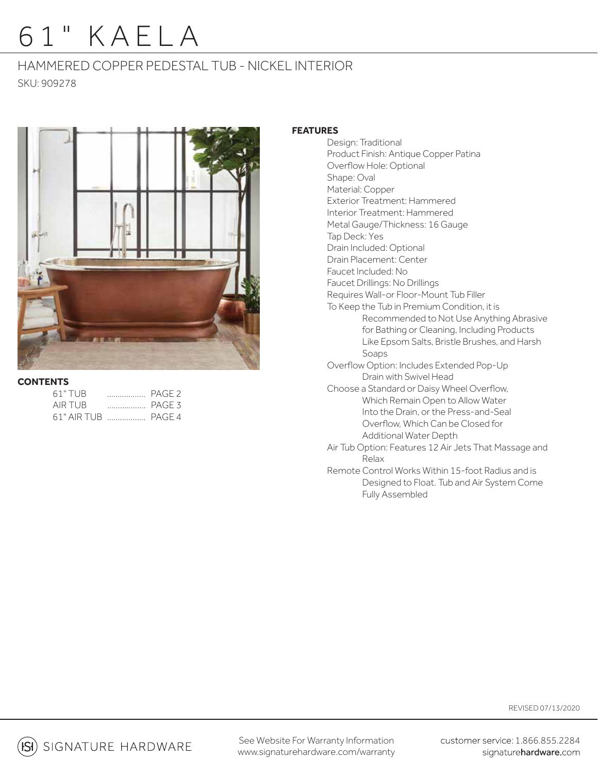# 61" KAELA

## HAMMERED COPPER PEDESTAL TUB - NICKEL INTERIOR SKU: 909278



### **CONTENTS**

| 61" TUB             |  |
|---------------------|--|
| AIR TUB             |  |
| 61" AIR TUB  PAGE 4 |  |

### **FEATURES**

Design: Traditional Product Finish: Antique Copper Patina Overflow Hole: Optional Shape: Oval Material: Copper Exterior Treatment: Hammered Interior Treatment: Hammered Metal Gauge/Thickness: 16 Gauge Tap Deck: Yes Drain Included: Optional Drain Placement: Center Faucet Included: No Faucet Drillings: No Drillings Requires Wall-or Floor-Mount Tub Filler To Keep the Tub in Premium Condition, it is Recommended to Not Use Anything Abrasive for Bathing or Cleaning, Including Products Like Epsom Salts, Bristle Brushes, and Harsh Soaps Overflow Option: Includes Extended Pop-Up Drain with Swivel Head Choose a Standard or Daisy Wheel Overflow, Which Remain Open to Allow Water Into the Drain, or the Press-and-Seal Overflow, Which Can be Closed for Additional Water Depth Air Tub Option: Features 12 Air Jets That Massage and Relax Remote Control Works Within 15-foot Radius and is Designed to Float. Tub and Air System Come Fully Assembled

SIGNATURE HARDWARE

See Website For Warranty Information www.signaturehardware.com/warranty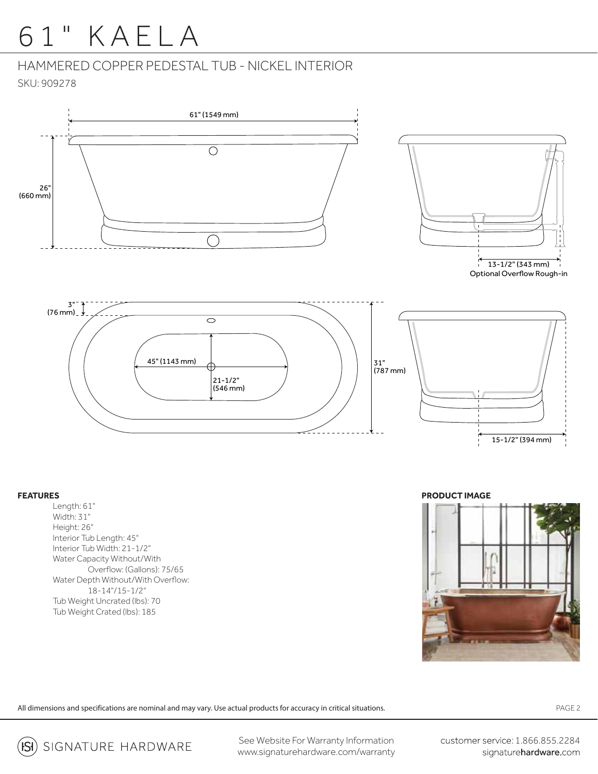# 61" KAELA

HAMMERED COPPER PEDESTAL TUB - NICKEL INTERIOR SKU: 909278





Optional Overflow Rough-in



#### **FEATURES**

Length: 61" Width: 31" Height: 26" Interior Tub Length: 45" Interior Tub Width: 21-1/2" Water Capacity Without/With Overflow: (Gallons): 75/65 Water Depth Without/With Overflow: 18-14"/15-1/2" Tub Weight Uncrated (lbs): 70 Tub Weight Crated (lbs): 185

**PRODUCT IMAGE**



All dimensions and specifications are nominal and may vary. Use actual products for accuracy in critical situations.

PAGE 2

SIGNATURE HARDWARE ISI)

See Website For Warranty Information www.signaturehardware.com/warranty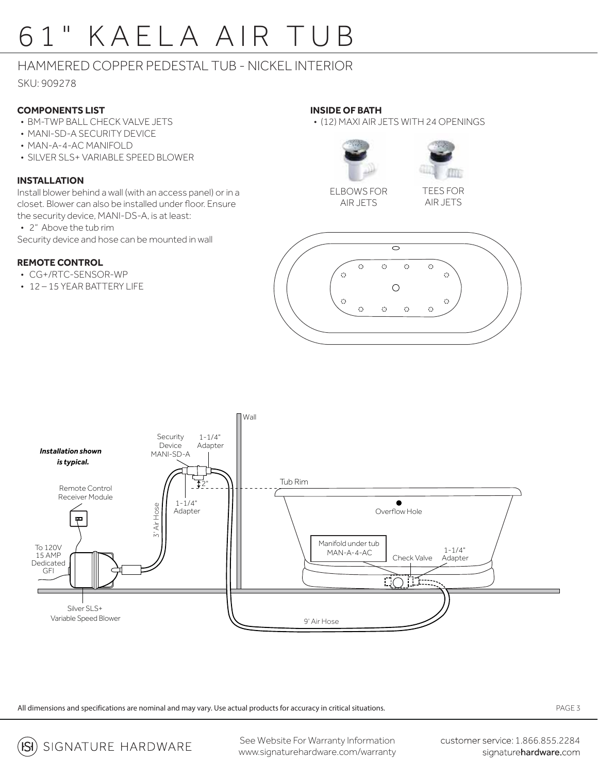# 61" KAELA AIR TUB

## HAMMERED COPPER PEDESTAL TUB - NICKEL INTERIOR

SKU: 909278

## **COMPONENTS LIST**

- BM-TWP BALL CHECK VALVE JETS
- MANI-SD-A SECURITY DEVICE
- MAN-A-4-AC MANIFOLD
- SILVER SLS+ VARIABLE SPEED BLOWER

### **INSTALLATION**

Install blower behind a wall (with an access panel) or in a closet. Blower can also be installed under floor. Ensure the security device, MANI-DS-A, is at least:

• 2" Above the tub rim

Security device and hose can be mounted in wall

## **REMOTE CONTROL**

- CG+/RTC-SENSOR-WP
- 12 15 YEAR BATTERY LIFE

### **INSIDE OF BATH**

• (12) MAXI AIR JETS WITH 24 OPENINGS





ELBOWS FOR AIR JETS

TEES FOR AIR JETS





All dimensions and specifications are nominal and may vary. Use actual products for accuracy in critical situations.

PAGE 3

SIGNATURE HARDWARE  $|S|$ 

See Website For Warranty Information www.signaturehardware.com/warranty